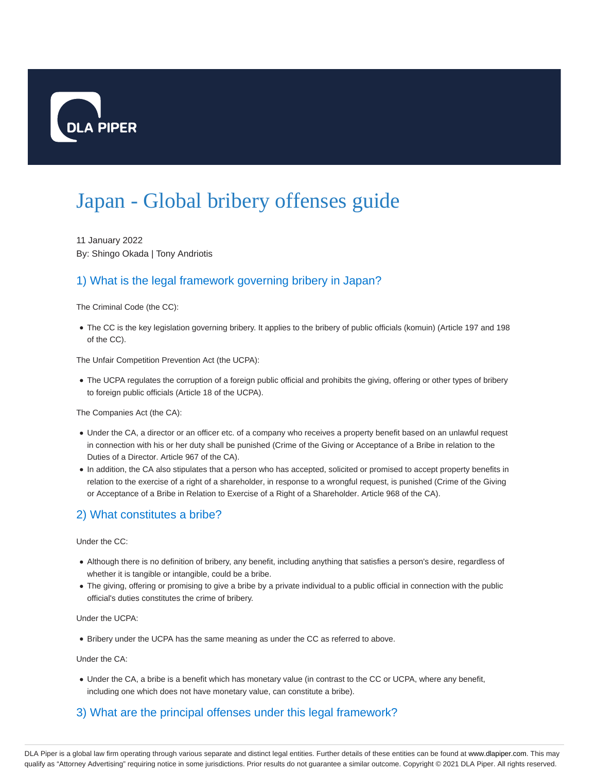

# Japan - Global bribery offenses guide

11 January 2022 By: Shingo Okada | Tony Andriotis

## 1) What is the legal framework governing bribery in Japan?

The Criminal Code (the CC):

The CC is the key legislation governing bribery. It applies to the bribery of public officials (komuin) (Article 197 and 198 of the CC).

The Unfair Competition Prevention Act (the UCPA):

The UCPA regulates the corruption of a foreign public official and prohibits the giving, offering or other types of bribery to foreign public officials (Article 18 of the UCPA).

The Companies Act (the CA):

- Under the CA, a director or an officer etc. of a company who receives a property benefit based on an unlawful request in connection with his or her duty shall be punished (Crime of the Giving or Acceptance of a Bribe in relation to the Duties of a Director. Article 967 of the CA).
- In addition, the CA also stipulates that a person who has accepted, solicited or promised to accept property benefits in relation to the exercise of a right of a shareholder, in response to a wrongful request, is punished (Crime of the Giving or Acceptance of a Bribe in Relation to Exercise of a Right of a Shareholder. Article 968 of the CA).

#### 2) What constitutes a bribe?

Under the CC:

- Although there is no definition of bribery, any benefit, including anything that satisfies a person's desire, regardless of whether it is tangible or intangible, could be a bribe.
- The giving, offering or promising to give a bribe by a private individual to a public official in connection with the public official's duties constitutes the crime of bribery.

Under the UCPA:

Bribery under the UCPA has the same meaning as under the CC as referred to above.

Under the CA:

Under the CA, a bribe is a benefit which has monetary value (in contrast to the CC or UCPA, where any benefit, including one which does not have monetary value, can constitute a bribe).

## 3) What are the principal offenses under this legal framework?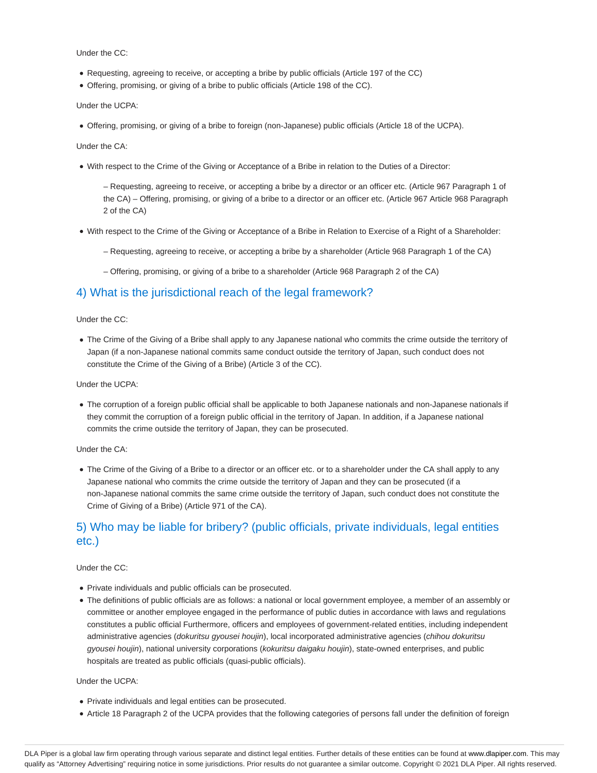Under the CC:

- Requesting, agreeing to receive, or accepting a bribe by public officials (Article 197 of the CC)
- Offering, promising, or giving of a bribe to public officials (Article 198 of the CC).

Under the UCPA:

Offering, promising, or giving of a bribe to foreign (non-Japanese) public officials (Article 18 of the UCPA).

Under the CA:

With respect to the Crime of the Giving or Acceptance of a Bribe in relation to the Duties of a Director:

– Requesting, agreeing to receive, or accepting a bribe by a director or an officer etc. (Article 967 Paragraph 1 of the CA) – Offering, promising, or giving of a bribe to a director or an officer etc. (Article 967 Article 968 Paragraph 2 of the CA)

- With respect to the Crime of the Giving or Acceptance of a Bribe in Relation to Exercise of a Right of a Shareholder:
	- Requesting, agreeing to receive, or accepting a bribe by a shareholder (Article 968 Paragraph 1 of the CA)
	- Offering, promising, or giving of a bribe to a shareholder (Article 968 Paragraph 2 of the CA)

#### 4) What is the jurisdictional reach of the legal framework?

#### Under the CC:

The Crime of the Giving of a Bribe shall apply to any Japanese national who commits the crime outside the territory of Japan (if a non-Japanese national commits same conduct outside the territory of Japan, such conduct does not constitute the Crime of the Giving of a Bribe) (Article 3 of the CC).

Under the UCPA:

The corruption of a foreign public official shall be applicable to both Japanese nationals and non-Japanese nationals if they commit the corruption of a foreign public official in the territory of Japan. In addition, if a Japanese national commits the crime outside the territory of Japan, they can be prosecuted.

Under the CA:

The Crime of the Giving of a Bribe to a director or an officer etc. or to a shareholder under the CA shall apply to any Japanese national who commits the crime outside the territory of Japan and they can be prosecuted (if a non-Japanese national commits the same crime outside the territory of Japan, such conduct does not constitute the Crime of Giving of a Bribe) (Article 971 of the CA).

## 5) Who may be liable for bribery? (public officials, private individuals, legal entities etc.)

#### Under the CC:

- Private individuals and public officials can be prosecuted.
- The definitions of public officials are as follows: a national or local government employee, a member of an assembly or committee or another employee engaged in the performance of public duties in accordance with laws and regulations constitutes a public official Furthermore, officers and employees of government-related entities, including independent administrative agencies (dokuritsu gyousei houjin), local incorporated administrative agencies (chihou dokuritsu gyousei houjin), national university corporations (kokuritsu daigaku houjin), state-owned enterprises, and public hospitals are treated as public officials (quasi-public officials).

#### Under the UCPA:

- Private individuals and legal entities can be prosecuted.
- Article 18 Paragraph 2 of the UCPA provides that the following categories of persons fall under the definition of foreign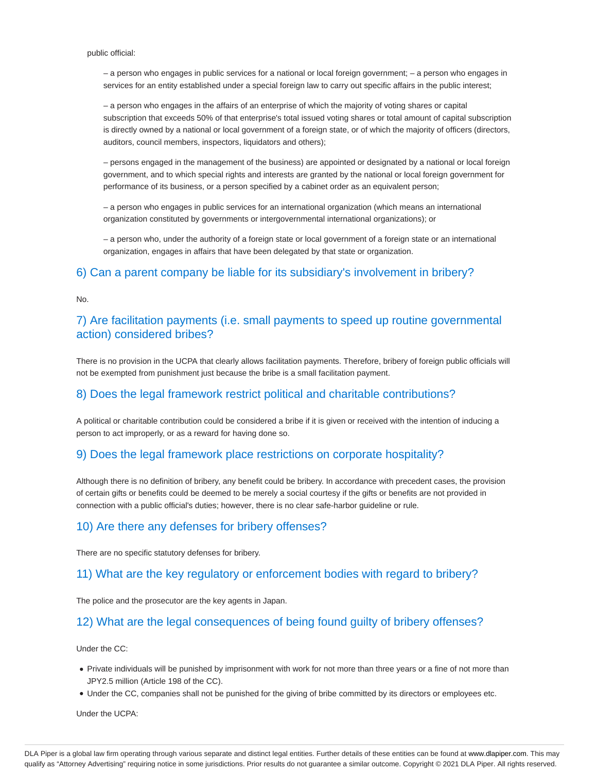public official:

– a person who engages in public services for a national or local foreign government; – a person who engages in services for an entity established under a special foreign law to carry out specific affairs in the public interest;

– a person who engages in the affairs of an enterprise of which the majority of voting shares or capital subscription that exceeds 50% of that enterprise's total issued voting shares or total amount of capital subscription is directly owned by a national or local government of a foreign state, or of which the majority of officers (directors, auditors, council members, inspectors, liquidators and others);

– persons engaged in the management of the business) are appointed or designated by a national or local foreign government, and to which special rights and interests are granted by the national or local foreign government for performance of its business, or a person specified by a cabinet order as an equivalent person;

– a person who engages in public services for an international organization (which means an international organization constituted by governments or intergovernmental international organizations); or

– a person who, under the authority of a foreign state or local government of a foreign state or an international organization, engages in affairs that have been delegated by that state or organization.

#### 6) Can a parent company be liable for its subsidiary's involvement in bribery?

No.

#### 7) Are facilitation payments (i.e. small payments to speed up routine governmental action) considered bribes?

There is no provision in the UCPA that clearly allows facilitation payments. Therefore, bribery of foreign public officials will not be exempted from punishment just because the bribe is a small facilitation payment.

#### 8) Does the legal framework restrict political and charitable contributions?

A political or charitable contribution could be considered a bribe if it is given or received with the intention of inducing a person to act improperly, or as a reward for having done so.

#### 9) Does the legal framework place restrictions on corporate hospitality?

Although there is no definition of bribery, any benefit could be bribery. In accordance with precedent cases, the provision of certain gifts or benefits could be deemed to be merely a social courtesy if the gifts or benefits are not provided in connection with a public official's duties; however, there is no clear safe-harbor guideline or rule.

#### 10) Are there any defenses for bribery offenses?

There are no specific statutory defenses for bribery.

#### 11) What are the key regulatory or enforcement bodies with regard to bribery?

The police and the prosecutor are the key agents in Japan.

#### 12) What are the legal consequences of being found guilty of bribery offenses?

Under the CC:

- Private individuals will be punished by imprisonment with work for not more than three years or a fine of not more than JPY2.5 million (Article 198 of the CC).
- Under the CC, companies shall not be punished for the giving of bribe committed by its directors or employees etc.

Under the UCPA: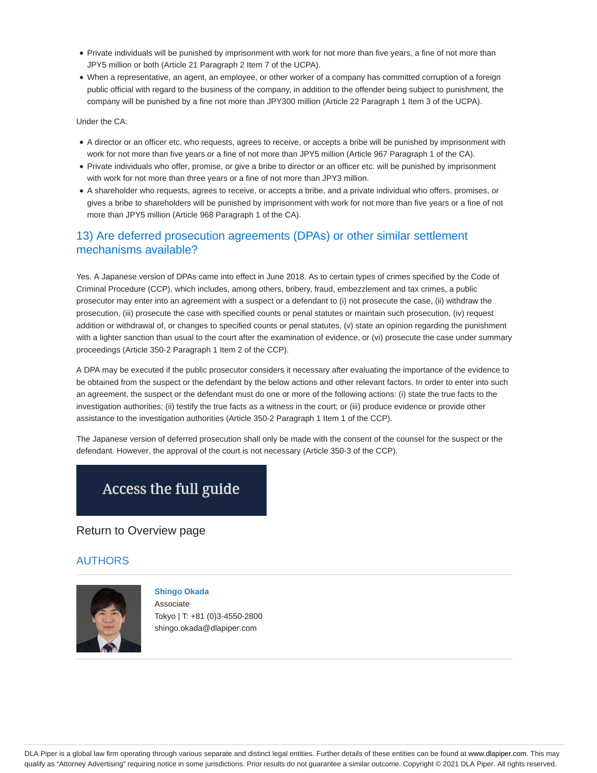- Private individuals will be punished by imprisonment with work for not more than five years, a fine of not more than JPY5 million or both (Article 21 Paragraph 2 Item 7 of the UCPA).
- When a representative, an agent, an employee, or other worker of a company has committed corruption of a foreign public official with regard to the business of the company, in addition to the offender being subject to punishment, the company will be punished by a fine not more than JPY300 million (Article 22 Paragraph 1 Item 3 of the UCPA).

Under the CA:

- A director or an officer etc. who requests, agrees to receive, or accepts a bribe will be punished by imprisonment with work for not more than five years or a fine of not more than JPY5 million (Article 967 Paragraph 1 of the CA).
- Private individuals who offer, promise, or give a bribe to director or an officer etc. will be punished by imprisonment with work for not more than three years or a fine of not more than JPY3 million.
- A shareholder who requests, agrees to receive, or accepts a bribe, and a private individual who offers, promises, or gives a bribe to shareholders will be punished by imprisonment with work for not more than five years or a fine of not more than JPY5 million (Article 968 Paragraph 1 of the CA).

## 13) Are deferred prosecution agreements (DPAs) or other similar settlement mechanisms available?

Yes. A Japanese version of DPAs came into effect in June 2018. As to certain types of crimes specified by the Code of Criminal Procedure (CCP), which includes, among others, bribery, fraud, embezzlement and tax crimes, a public prosecutor may enter into an agreement with a suspect or a defendant to (i) not prosecute the case, (ii) withdraw the prosecution, (iii) prosecute the case with specified counts or penal statutes or maintain such prosecution, (iv) request addition or withdrawal of, or changes to specified counts or penal statutes, (v) state an opinion regarding the punishment with a lighter sanction than usual to the court after the examination of evidence, or (vi) prosecute the case under summary proceedings (Article 350-2 Paragraph 1 Item 2 of the CCP).

A DPA may be executed if the public prosecutor considers it necessary after evaluating the importance of the evidence to be obtained from the suspect or the defendant by the below actions and other relevant factors. In order to enter into such an agreement, the suspect or the defendant must do one or more of the following actions: (i) state the true facts to the investigation authorities; (ii) testify the true facts as a witness in the court; or (iii) produce evidence or provide other assistance to the investigation authorities (Article 350-2 Paragraph 1 Item 1 of the CCP).

The Japanese version of deferred prosecution shall only be made with the consent of the counsel for the suspect or the defendant. However, the approval of the court is not necessary (Article 350-3 of the CCP).

## Access the full guide

Return to Overview page

#### **AUTHORS**



**Shingo Okada** Associate Tokyo | T: +81 (0)3-4550-2800 shingo.okada@dlapiper.com

DLA Piper is a global law firm operating through various separate and distinct legal entities. Further details of these entities can be found at www.dlapiper.com. This may qualify as "Attorney Advertising" requiring notice in some jurisdictions. Prior results do not guarantee a similar outcome. Copyright © 2021 DLA Piper. All rights reserved.